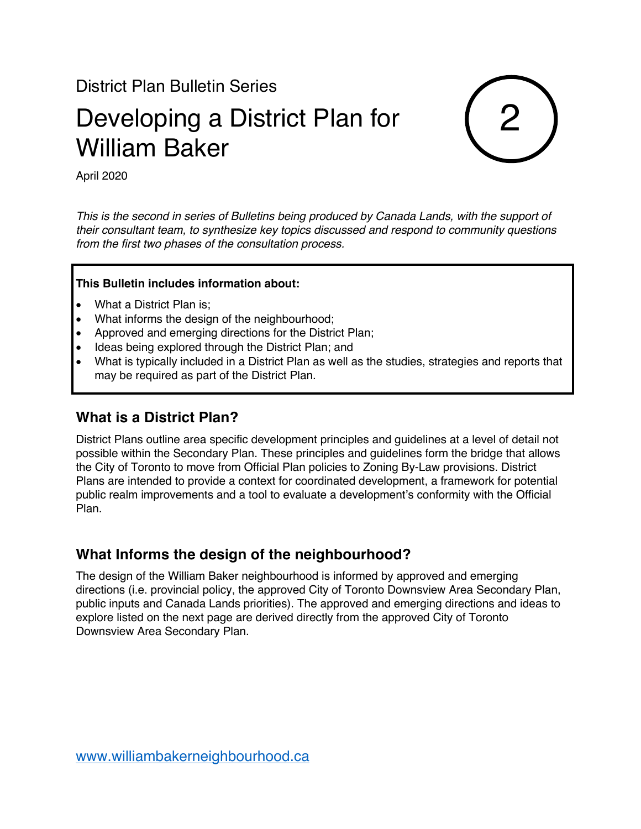District Plan Bulletin Series

# Developing a District Plan for William Baker



April 2020

*This is the second in series of Bulletins being produced by Canada Lands, with the support of their consultant team, to synthesize key topics discussed and respond to community questions from the first two phases of the consultation process.*

#### **This Bulletin includes information about:**

- What a District Plan is;
- What informs the design of the neighbourhood;
- Approved and emerging directions for the District Plan;
- Ideas being explored through the District Plan; and
- What is typically included in a District Plan as well as the studies, strategies and reports that may be required as part of the District Plan.

#### **What is a District Plan?**

District Plans outline area specific development principles and guidelines at a level of detail not possible within the Secondary Plan. These principles and guidelines form the bridge that allows the City of Toronto to move from Official Plan policies to Zoning By-Law provisions. District Plans are intended to provide a context for coordinated development, a framework for potential public realm improvements and a tool to evaluate a development's conformity with the Official Plan.

#### **What Informs the design of the neighbourhood?**

The design of the William Baker neighbourhood is informed by approved and emerging directions (i.e. provincial policy, the approved City of Toronto Downsview Area Secondary Plan, public inputs and Canada Lands priorities). The approved and emerging directions and ideas to explore listed on the next page are derived directly from the approved City of Toronto Downsview Area Secondary Plan.